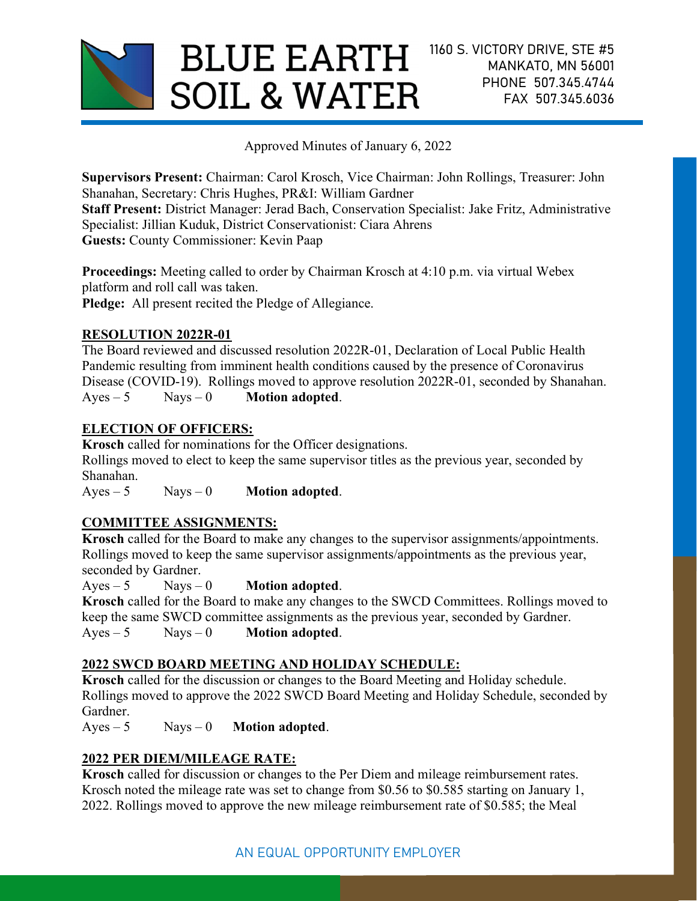

Approved Minutes of January 6, 2022

Supervisors Present: Chairman: Carol Krosch, Vice Chairman: John Rollings, Treasurer: John Shanahan, Secretary: Chris Hughes, PR&I: William Gardner Staff Present: District Manager: Jerad Bach, Conservation Specialist: Jake Fritz, Administrative Specialist: Jillian Kuduk, District Conservationist: Ciara Ahrens Guests: County Commissioner: Kevin Paap

Proceedings: Meeting called to order by Chairman Krosch at 4:10 p.m. via virtual Webex platform and roll call was taken. Pledge: All present recited the Pledge of Allegiance.

## RESOLUTION 2022R-01

The Board reviewed and discussed resolution 2022R-01, Declaration of Local Public Health Pandemic resulting from imminent health conditions caused by the presence of Coronavirus Disease (COVID-19). Rollings moved to approve resolution 2022R-01, seconded by Shanahan.  $Ayes - 5$  Nays – 0 **Motion adopted.** 

# ELECTION OF OFFICERS:

Krosch called for nominations for the Officer designations. Rollings moved to elect to keep the same supervisor titles as the previous year, seconded by Shanahan.

 $Ayes - 5$  Nays – 0 **Motion adopted.** 

# COMMITTEE ASSIGNMENTS:

Krosch called for the Board to make any changes to the supervisor assignments/appointments. Rollings moved to keep the same supervisor assignments/appointments as the previous year, seconded by Gardner.

 $Ayes - 5$  Nays – 0 **Motion adopted.** Krosch called for the Board to make any changes to the SWCD Committees. Rollings moved to keep the same SWCD committee assignments as the previous year, seconded by Gardner.

 $Ayes - 5$  Nays – 0 **Motion adopted.** 

## 2022 SWCD BOARD MEETING AND HOLIDAY SCHEDULE:

Krosch called for the discussion or changes to the Board Meeting and Holiday schedule. Rollings moved to approve the 2022 SWCD Board Meeting and Holiday Schedule, seconded by Gardner.

 $Ayes - 5$  Nays – 0 **Motion adopted.** 

# 2022 PER DIEM/MILEAGE RATE:

Krosch called for discussion or changes to the Per Diem and mileage reimbursement rates. Krosch noted the mileage rate was set to change from \$0.56 to \$0.585 starting on January 1, 2022. Rollings moved to approve the new mileage reimbursement rate of \$0.585; the Meal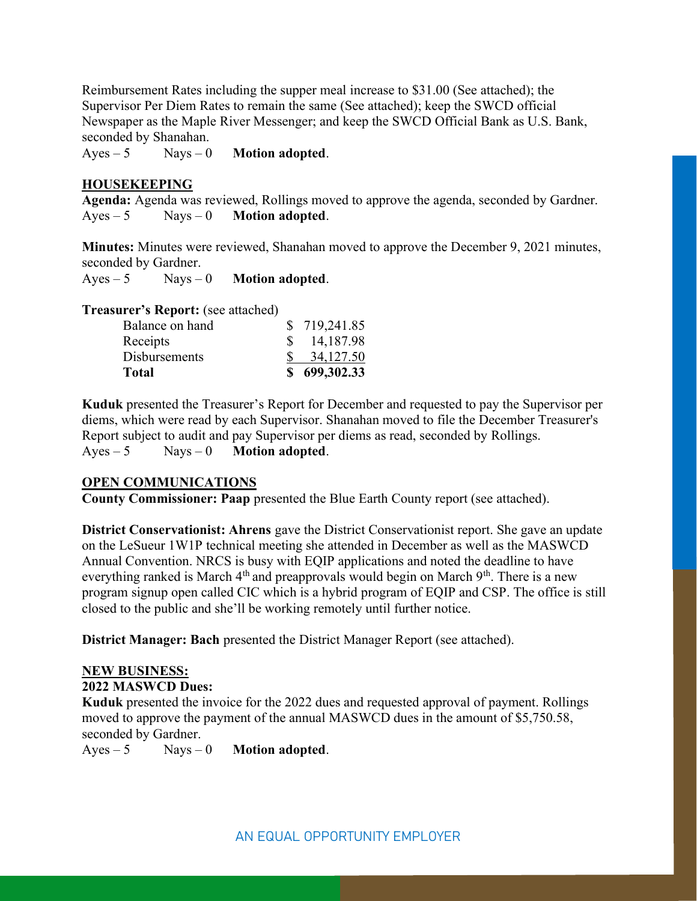Reimbursement Rates including the supper meal increase to \$31.00 (See attached); the Supervisor Per Diem Rates to remain the same (See attached); keep the SWCD official Newspaper as the Maple River Messenger; and keep the SWCD Official Bank as U.S. Bank, seconded by Shanahan.

 $Ayes - 5$  Nays – 0 **Motion adopted.** 

#### HOUSEKEEPING

Agenda: Agenda was reviewed, Rollings moved to approve the agenda, seconded by Gardner.  $Ayes - 5$  Nays – 0 **Motion adopted.** 

Minutes: Minutes were reviewed, Shanahan moved to approve the December 9, 2021 minutes, seconded by Gardner.

 $Ayes - 5$  Nays – 0 **Motion adopted.** 

Treasurer's Report: (see attached)

| <b>Disbursements</b><br><b>Total</b> | 34,127.50<br>\$699,302.33 |
|--------------------------------------|---------------------------|
| Receipts                             | 14,187.98                 |
| Balance on hand                      | \$719,241.85              |

Kuduk presented the Treasurer's Report for December and requested to pay the Supervisor per diems, which were read by each Supervisor. Shanahan moved to file the December Treasurer's Report subject to audit and pay Supervisor per diems as read, seconded by Rollings.  $Ayes - 5$  Nays – 0 **Motion adopted.** 

#### OPEN COMMUNICATIONS

County Commissioner: Paap presented the Blue Earth County report (see attached).

District Conservationist: Ahrens gave the District Conservationist report. She gave an update on the LeSueur 1W1P technical meeting she attended in December as well as the MASWCD Annual Convention. NRCS is busy with EQIP applications and noted the deadline to have everything ranked is March  $4<sup>th</sup>$  and preapprovals would begin on March  $9<sup>th</sup>$ . There is a new program signup open called CIC which is a hybrid program of EQIP and CSP. The office is still closed to the public and she'll be working remotely until further notice.

District Manager: Bach presented the District Manager Report (see attached).

### NEW BUSINESS:

### 2022 MASWCD Dues:

Kuduk presented the invoice for the 2022 dues and requested approval of payment. Rollings moved to approve the payment of the annual MASWCD dues in the amount of \$5,750.58, seconded by Gardner.

 $Ayes - 5$  Nays – 0 **Motion adopted.**